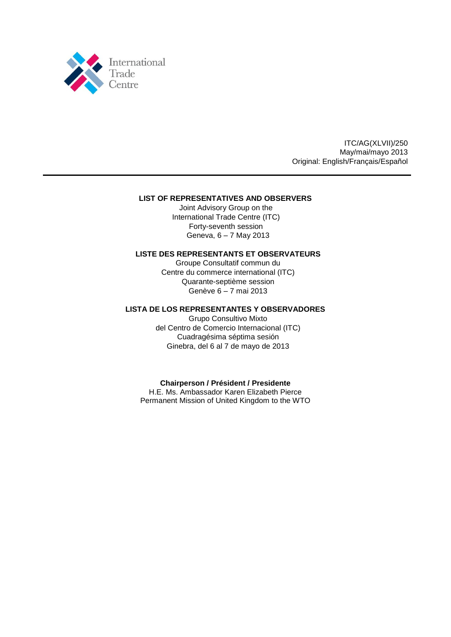

ITC/AG(XLVII)/250 May/mai/mayo 2013 Original: English/Français/Español

## **LIST OF REPRESENTATIVES AND OBSERVERS**

Joint Advisory Group on the International Trade Centre (ITC) Forty-seventh session Geneva, 6 – 7 May 2013

## **LISTE DES REPRESENTANTS ET OBSERVATEURS**

Groupe Consultatif commun du Centre du commerce international (ITC) Quarante-septième session Genève 6 – 7 mai 2013

## **LISTA DE LOS REPRESENTANTES Y OBSERVADORES**

Grupo Consultivo Mixto del Centro de Comercio Internacional (ITC) Cuadragésima séptima sesión Ginebra, del 6 al 7 de mayo de 2013

## **Chairperson / Président / Presidente**

H.E. Ms. Ambassador Karen Elizabeth Pierce Permanent Mission of United Kingdom to the WTO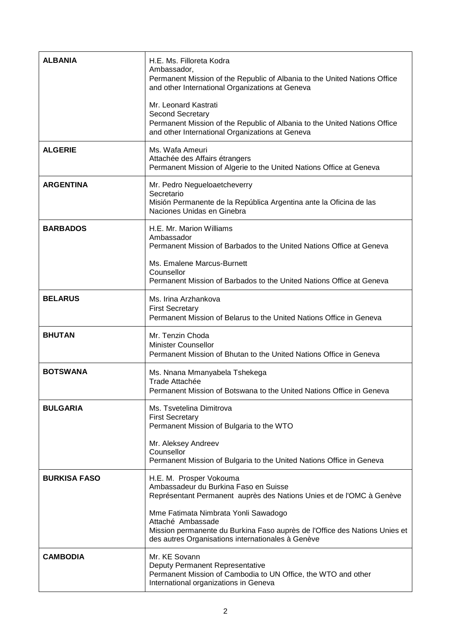| <b>ALBANIA</b>      | H.E. Ms. Filloreta Kodra<br>Ambassador,<br>Permanent Mission of the Republic of Albania to the United Nations Office<br>and other International Organizations at Geneva                      |
|---------------------|----------------------------------------------------------------------------------------------------------------------------------------------------------------------------------------------|
|                     | Mr. Leonard Kastrati<br>Second Secretary<br>Permanent Mission of the Republic of Albania to the United Nations Office<br>and other International Organizations at Geneva                     |
| <b>ALGERIE</b>      | Ms. Wafa Ameuri<br>Attachée des Affairs étrangers<br>Permanent Mission of Algerie to the United Nations Office at Geneva                                                                     |
| <b>ARGENTINA</b>    | Mr. Pedro Negueloaetcheverry<br>Secretario<br>Misión Permanente de la República Argentina ante la Oficina de las<br>Naciones Unidas en Ginebra                                               |
| <b>BARBADOS</b>     | H.E. Mr. Marion Williams<br>Ambassador<br>Permanent Mission of Barbados to the United Nations Office at Geneva                                                                               |
|                     | Ms. Emalene Marcus-Burnett<br>Counsellor<br>Permanent Mission of Barbados to the United Nations Office at Geneva                                                                             |
| <b>BELARUS</b>      | Ms. Irina Arzhankova<br><b>First Secretary</b><br>Permanent Mission of Belarus to the United Nations Office in Geneva                                                                        |
| <b>BHUTAN</b>       | Mr. Tenzin Choda<br><b>Minister Counsellor</b><br>Permanent Mission of Bhutan to the United Nations Office in Geneva                                                                         |
| <b>BOTSWANA</b>     | Ms. Nnana Mmanyabela Tshekega<br>Trade Attachée<br>Permanent Mission of Botswana to the United Nations Office in Geneva                                                                      |
| <b>BULGARIA</b>     | Ms. Tsvetelina Dimitrova<br><b>First Secretary</b><br>Permanent Mission of Bulgaria to the WTO                                                                                               |
|                     | Mr. Aleksey Andreev<br>Counsellor<br>Permanent Mission of Bulgaria to the United Nations Office in Geneva                                                                                    |
| <b>BURKISA FASO</b> | H.E. M. Prosper Vokouma<br>Ambassadeur du Burkina Faso en Suisse<br>Représentant Permanent auprès des Nations Unies et de l'OMC à Genève                                                     |
|                     | Mme Fatimata Nimbrata Yonli Sawadogo<br>Attaché Ambassade<br>Mission permanente du Burkina Faso auprès de l'Office des Nations Unies et<br>des autres Organisations internationales à Genève |
| <b>CAMBODIA</b>     | Mr. KE Sovann<br>Deputy Permanent Representative<br>Permanent Mission of Cambodia to UN Office, the WTO and other<br>International organizations in Geneva                                   |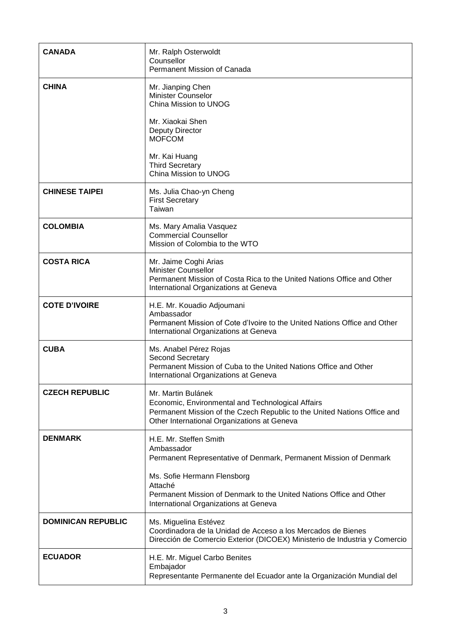| <b>CANADA</b>             | Mr. Ralph Osterwoldt<br>Counsellor<br>Permanent Mission of Canada                                                                                                                                          |
|---------------------------|------------------------------------------------------------------------------------------------------------------------------------------------------------------------------------------------------------|
| <b>CHINA</b>              | Mr. Jianping Chen<br><b>Minister Counselor</b><br>China Mission to UNOG<br>Mr. Xiaokai Shen<br><b>Deputy Director</b><br><b>MOFCOM</b><br>Mr. Kai Huang<br><b>Third Secretary</b><br>China Mission to UNOG |
| <b>CHINESE TAIPEI</b>     | Ms. Julia Chao-yn Cheng<br><b>First Secretary</b><br>Taiwan                                                                                                                                                |
| <b>COLOMBIA</b>           | Ms. Mary Amalia Vasquez<br><b>Commercial Counsellor</b><br>Mission of Colombia to the WTO                                                                                                                  |
| <b>COSTA RICA</b>         | Mr. Jaime Coghi Arias<br><b>Minister Counsellor</b><br>Permanent Mission of Costa Rica to the United Nations Office and Other<br>International Organizations at Geneva                                     |
| <b>COTE D'IVOIRE</b>      | H.E. Mr. Kouadio Adjoumani<br>Ambassador<br>Permanent Mission of Cote d'Ivoire to the United Nations Office and Other<br>International Organizations at Geneva                                             |
| <b>CUBA</b>               | Ms. Anabel Pérez Rojas<br><b>Second Secretary</b><br>Permanent Mission of Cuba to the United Nations Office and Other<br>International Organizations at Geneva                                             |
| <b>CZECH REPUBLIC</b>     | Mr. Martin Bulánek<br>Economic, Environmental and Technological Affairs<br>Permanent Mission of the Czech Republic to the United Nations Office and<br>Other International Organizations at Geneva         |
| <b>DENMARK</b>            | H.E. Mr. Steffen Smith<br>Ambassador<br>Permanent Representative of Denmark, Permanent Mission of Denmark<br>Ms. Sofie Hermann Flensborg                                                                   |
|                           | Attaché<br>Permanent Mission of Denmark to the United Nations Office and Other<br>International Organizations at Geneva                                                                                    |
| <b>DOMINICAN REPUBLIC</b> | Ms. Miguelina Estévez<br>Coordinadora de la Unidad de Acceso a los Mercados de Bienes<br>Dirección de Comercio Exterior (DICOEX) Ministerio de Industria y Comercio                                        |
| <b>ECUADOR</b>            | H.E. Mr. Miguel Carbo Benites<br>Embajador<br>Representante Permanente del Ecuador ante la Organización Mundial del                                                                                        |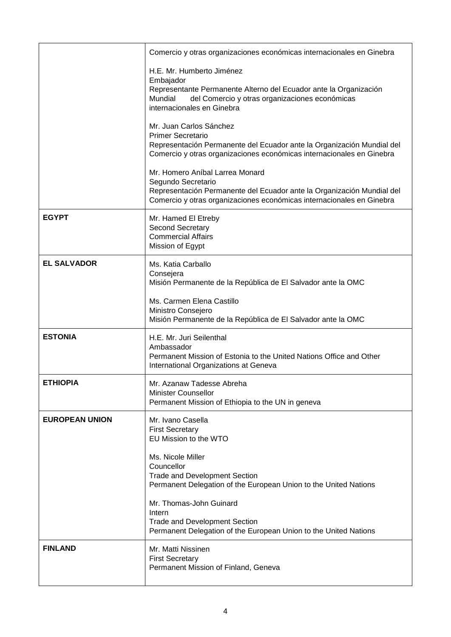|                       | Comercio y otras organizaciones económicas internacionales en Ginebra                                                                                                                                    |
|-----------------------|----------------------------------------------------------------------------------------------------------------------------------------------------------------------------------------------------------|
|                       | H.E. Mr. Humberto Jiménez<br>Embajador<br>Representante Permanente Alterno del Ecuador ante la Organización<br>Mundial<br>del Comercio y otras organizaciones económicas<br>internacionales en Ginebra   |
|                       | Mr. Juan Carlos Sánchez<br><b>Primer Secretario</b><br>Representación Permanente del Ecuador ante la Organización Mundial del<br>Comercio y otras organizaciones económicas internacionales en Ginebra   |
|                       | Mr. Homero Aníbal Larrea Monard<br>Segundo Secretario<br>Representación Permanente del Ecuador ante la Organización Mundial del<br>Comercio y otras organizaciones económicas internacionales en Ginebra |
| <b>EGYPT</b>          | Mr. Hamed El Etreby<br><b>Second Secretary</b><br><b>Commercial Affairs</b><br>Mission of Egypt                                                                                                          |
| <b>EL SALVADOR</b>    | Ms. Katia Carballo<br>Consejera<br>Misión Permanente de la República de El Salvador ante la OMC                                                                                                          |
|                       | Ms. Carmen Elena Castillo<br>Ministro Consejero<br>Misión Permanente de la República de El Salvador ante la OMC                                                                                          |
| <b>ESTONIA</b>        | H.E. Mr. Juri Seilenthal<br>Ambassador<br>Permanent Mission of Estonia to the United Nations Office and Other<br>International Organizations at Geneva                                                   |
| <b>ETHIOPIA</b>       | Mr. Azanaw Tadesse Abreha<br><b>Minister Counsellor</b><br>Permanent Mission of Ethiopia to the UN in geneva                                                                                             |
| <b>EUROPEAN UNION</b> | Mr. Ivano Casella<br><b>First Secretary</b><br>EU Mission to the WTO                                                                                                                                     |
|                       | Ms. Nicole Miller<br>Councellor<br><b>Trade and Development Section</b><br>Permanent Delegation of the European Union to the United Nations                                                              |
|                       | Mr. Thomas-John Guinard<br>Intern<br><b>Trade and Development Section</b><br>Permanent Delegation of the European Union to the United Nations                                                            |
| <b>FINLAND</b>        | Mr. Matti Nissinen<br><b>First Secretary</b><br>Permanent Mission of Finland, Geneva                                                                                                                     |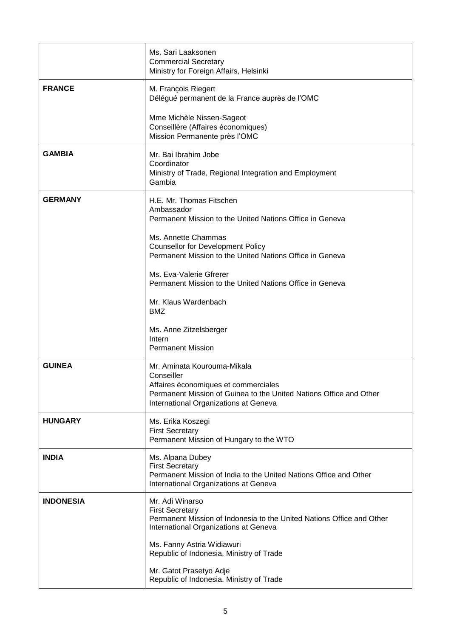|                  | Ms. Sari Laaksonen<br><b>Commercial Secretary</b><br>Ministry for Foreign Affairs, Helsinki                                                                                                      |
|------------------|--------------------------------------------------------------------------------------------------------------------------------------------------------------------------------------------------|
| <b>FRANCE</b>    | M. François Riegert<br>Délégué permanent de la France auprès de l'OMC                                                                                                                            |
|                  | Mme Michèle Nissen-Sageot<br>Conseillère (Affaires économiques)<br>Mission Permanente près l'OMC                                                                                                 |
| <b>GAMBIA</b>    | Mr. Bai Ibrahim Jobe<br>Coordinator<br>Ministry of Trade, Regional Integration and Employment<br>Gambia                                                                                          |
| <b>GERMANY</b>   | H.E. Mr. Thomas Fitschen<br>Ambassador<br>Permanent Mission to the United Nations Office in Geneva                                                                                               |
|                  | Ms. Annette Chammas<br><b>Counsellor for Development Policy</b><br>Permanent Mission to the United Nations Office in Geneva                                                                      |
|                  | Ms. Eva-Valerie Gfrerer<br>Permanent Mission to the United Nations Office in Geneva                                                                                                              |
|                  | Mr. Klaus Wardenbach<br><b>BMZ</b>                                                                                                                                                               |
|                  | Ms. Anne Zitzelsberger<br>Intern<br><b>Permanent Mission</b>                                                                                                                                     |
| <b>GUINEA</b>    | Mr. Aminata Kourouma-Mikala<br>Conseiller<br>Affaires économiques et commerciales<br>Permanent Mission of Guinea to the United Nations Office and Other<br>International Organizations at Geneva |
| <b>HUNGARY</b>   | Ms. Erika Koszegi<br><b>First Secretary</b><br>Permanent Mission of Hungary to the WTO                                                                                                           |
| <b>INDIA</b>     | Ms. Alpana Dubey<br><b>First Secretary</b><br>Permanent Mission of India to the United Nations Office and Other<br>International Organizations at Geneva                                         |
| <b>INDONESIA</b> | Mr. Adi Winarso<br><b>First Secretary</b><br>Permanent Mission of Indonesia to the United Nations Office and Other<br>International Organizations at Geneva                                      |
|                  | Ms. Fanny Astria Widiawuri<br>Republic of Indonesia, Ministry of Trade                                                                                                                           |
|                  | Mr. Gatot Prasetyo Adje<br>Republic of Indonesia, Ministry of Trade                                                                                                                              |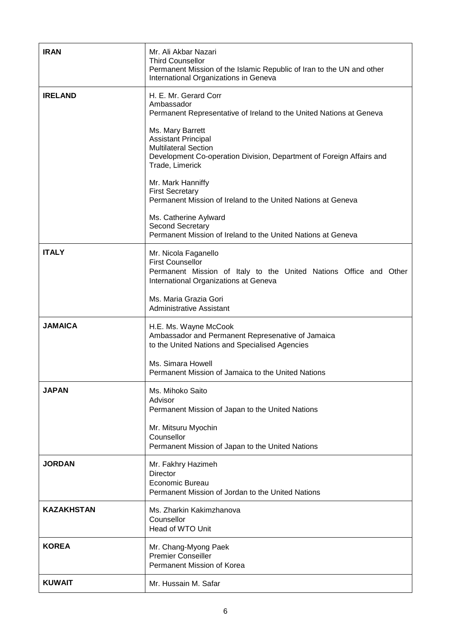| <b>IRAN</b>       | Mr. Ali Akbar Nazari<br><b>Third Counsellor</b><br>Permanent Mission of the Islamic Republic of Iran to the UN and other<br>International Organizations in Geneva        |
|-------------------|--------------------------------------------------------------------------------------------------------------------------------------------------------------------------|
| <b>IRELAND</b>    | H. E. Mr. Gerard Corr<br>Ambassador<br>Permanent Representative of Ireland to the United Nations at Geneva                                                               |
|                   | Ms. Mary Barrett<br><b>Assistant Principal</b><br><b>Multilateral Section</b><br>Development Co-operation Division, Department of Foreign Affairs and<br>Trade, Limerick |
|                   | Mr. Mark Hanniffy<br><b>First Secretary</b><br>Permanent Mission of Ireland to the United Nations at Geneva                                                              |
|                   | Ms. Catherine Aylward<br><b>Second Secretary</b><br>Permanent Mission of Ireland to the United Nations at Geneva                                                         |
| <b>ITALY</b>      | Mr. Nicola Faganello<br><b>First Counsellor</b><br>Permanent Mission of Italy to the United Nations Office and Other<br>International Organizations at Geneva            |
|                   | Ms. Maria Grazia Gori<br><b>Administrative Assistant</b>                                                                                                                 |
| <b>JAMAICA</b>    | H.E. Ms. Wayne McCook<br>Ambassador and Permanent Represenative of Jamaica<br>to the United Nations and Specialised Agencies                                             |
|                   | Ms. Simara Howell<br>Permanent Mission of Jamaica to the United Nations                                                                                                  |
| <b>JAPAN</b>      | Ms. Mihoko Saito<br>Advisor<br>Permanent Mission of Japan to the United Nations                                                                                          |
|                   | Mr. Mitsuru Myochin<br>Counsellor<br>Permanent Mission of Japan to the United Nations                                                                                    |
| <b>JORDAN</b>     | Mr. Fakhry Hazimeh<br><b>Director</b><br>Economic Bureau<br>Permanent Mission of Jordan to the United Nations                                                            |
| <b>KAZAKHSTAN</b> | Ms. Zharkin Kakimzhanova<br>Counsellor<br>Head of WTO Unit                                                                                                               |
| <b>KOREA</b>      | Mr. Chang-Myong Paek<br><b>Premier Conseiller</b><br>Permanent Mission of Korea                                                                                          |
| <b>KUWAIT</b>     | Mr. Hussain M. Safar                                                                                                                                                     |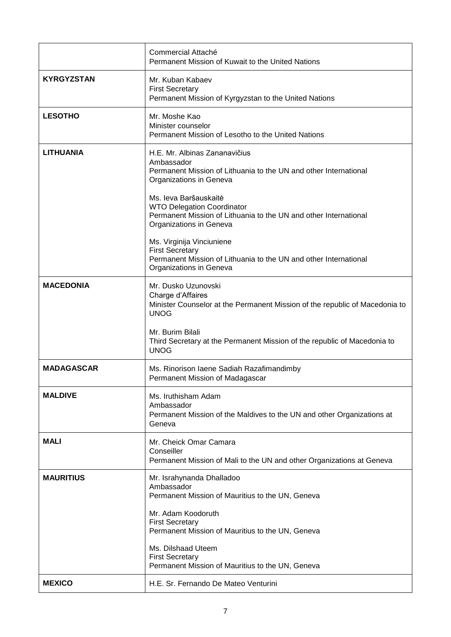|                   | Commercial Attaché<br>Permanent Mission of Kuwait to the United Nations                                                                                   |
|-------------------|-----------------------------------------------------------------------------------------------------------------------------------------------------------|
| <b>KYRGYZSTAN</b> | Mr. Kuban Kabaev<br><b>First Secretary</b><br>Permanent Mission of Kyrgyzstan to the United Nations                                                       |
| <b>LESOTHO</b>    | Mr. Moshe Kao<br>Minister counselor<br>Permanent Mission of Lesotho to the United Nations                                                                 |
| <b>LITHUANIA</b>  | H.E. Mr. Albinas Zananavičius<br>Ambassador<br>Permanent Mission of Lithuania to the UN and other International<br>Organizations in Geneva                |
|                   | Ms. Ieva Baršauskaitė<br><b>WTO Delegation Coordinator</b><br>Permanent Mission of Lithuania to the UN and other International<br>Organizations in Geneva |
|                   | Ms. Virginija Vinciuniene<br><b>First Secretary</b><br>Permanent Mission of Lithuania to the UN and other International<br>Organizations in Geneva        |
| <b>MACEDONIA</b>  | Mr. Dusko Uzunovski<br>Charge d'Affaires<br>Minister Counselor at the Permanent Mission of the republic of Macedonia to<br><b>UNOG</b>                    |
|                   | Mr. Burim Bilali<br>Third Secretary at the Permanent Mission of the republic of Macedonia to<br><b>UNOG</b>                                               |
| <b>MADAGASCAR</b> | Ms. Rinorison Iaene Sadiah Razafimandimby<br>Permanent Mission of Madagascar                                                                              |
| <b>MALDIVE</b>    | Ms. Iruthisham Adam<br>Ambassador<br>Permanent Mission of the Maldives to the UN and other Organizations at<br>Geneva                                     |
| <b>MALI</b>       | Mr. Cheick Omar Camara<br>Conseiller<br>Permanent Mission of Mali to the UN and other Organizations at Geneva                                             |
| <b>MAURITIUS</b>  | Mr. Israhynanda Dhalladoo<br>Ambassador<br>Permanent Mission of Mauritius to the UN, Geneva                                                               |
|                   | Mr. Adam Koodoruth<br><b>First Secretary</b><br>Permanent Mission of Mauritius to the UN, Geneva                                                          |
|                   | Ms. Dilshaad Uteem<br><b>First Secretary</b><br>Permanent Mission of Mauritius to the UN, Geneva                                                          |
| <b>MEXICO</b>     | H.E. Sr. Fernando De Mateo Venturini                                                                                                                      |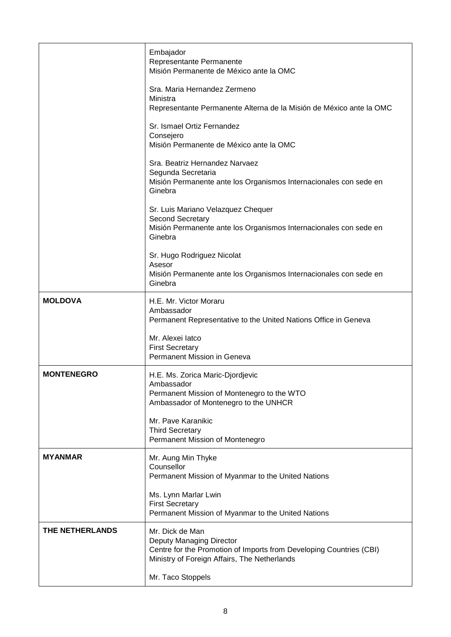|                   | Embajador<br>Representante Permanente<br>Misión Permanente de México ante la OMC                                                                                   |
|-------------------|--------------------------------------------------------------------------------------------------------------------------------------------------------------------|
|                   | Sra. Maria Hernandez Zermeno<br>Ministra<br>Representante Permanente Alterna de la Misión de México ante la OMC                                                    |
|                   | Sr. Ismael Ortiz Fernandez<br>Consejero<br>Misión Permanente de México ante la OMC                                                                                 |
|                   | Sra. Beatriz Hernandez Narvaez<br>Segunda Secretaria<br>Misión Permanente ante los Organismos Internacionales con sede en<br>Ginebra                               |
|                   | Sr. Luis Mariano Velazquez Chequer<br>Second Secretary<br>Misión Permanente ante los Organismos Internacionales con sede en<br>Ginebra                             |
|                   | Sr. Hugo Rodriguez Nicolat<br>Asesor<br>Misión Permanente ante los Organismos Internacionales con sede en<br>Ginebra                                               |
| <b>MOLDOVA</b>    | H.E. Mr. Victor Moraru<br>Ambassador<br>Permanent Representative to the United Nations Office in Geneva                                                            |
|                   | Mr. Alexei latco<br><b>First Secretary</b><br>Permanent Mission in Geneva                                                                                          |
| <b>MONTENEGRO</b> | H.E. Ms. Zorica Maric-Djordjevic<br>Ambassador<br>Permanent Mission of Montenegro to the WTO<br>Ambassador of Montenegro to the UNHCR                              |
|                   | Mr. Pave Karanikic<br><b>Third Secretary</b><br>Permanent Mission of Montenegro                                                                                    |
| <b>MYANMAR</b>    | Mr. Aung Min Thyke<br>Counsellor<br>Permanent Mission of Myanmar to the United Nations                                                                             |
|                   | Ms. Lynn Marlar Lwin<br><b>First Secretary</b><br>Permanent Mission of Myanmar to the United Nations                                                               |
| THE NETHERLANDS   | Mr. Dick de Man<br>Deputy Managing Director<br>Centre for the Promotion of Imports from Developing Countries (CBI)<br>Ministry of Foreign Affairs, The Netherlands |
|                   | Mr. Taco Stoppels                                                                                                                                                  |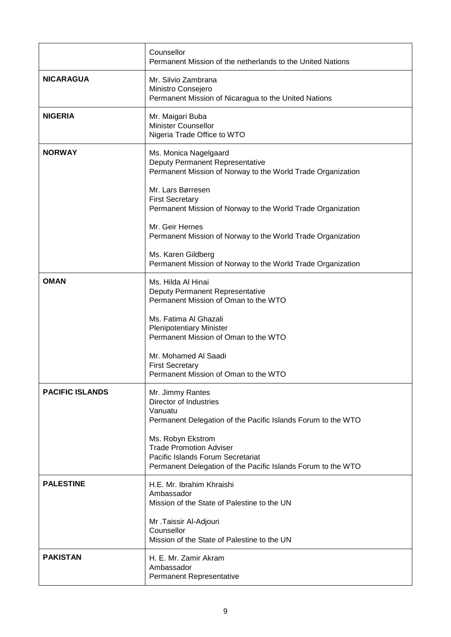|                        | Counsellor<br>Permanent Mission of the netherlands to the United Nations                                                                                 |
|------------------------|----------------------------------------------------------------------------------------------------------------------------------------------------------|
| <b>NICARAGUA</b>       | Mr. Silvio Zambrana<br>Ministro Consejero<br>Permanent Mission of Nicaragua to the United Nations                                                        |
| <b>NIGERIA</b>         | Mr. Maigari Buba<br><b>Minister Counsellor</b><br>Nigeria Trade Office to WTO                                                                            |
| <b>NORWAY</b>          | Ms. Monica Nagelgaard<br>Deputy Permanent Representative<br>Permanent Mission of Norway to the World Trade Organization                                  |
|                        | Mr. Lars Børresen<br><b>First Secretary</b><br>Permanent Mission of Norway to the World Trade Organization                                               |
|                        | Mr. Geir Hernes<br>Permanent Mission of Norway to the World Trade Organization                                                                           |
|                        | Ms. Karen Gildberg<br>Permanent Mission of Norway to the World Trade Organization                                                                        |
| <b>OMAN</b>            | Ms. Hilda Al Hinai<br>Deputy Permanent Representative<br>Permanent Mission of Oman to the WTO                                                            |
|                        | Ms. Fatima Al Ghazali<br><b>Plenipotentiary Minister</b><br>Permanent Mission of Oman to the WTO                                                         |
|                        | Mr. Mohamed Al Saadi<br><b>First Secretary</b><br>Permanent Mission of Oman to the WTO                                                                   |
| <b>PACIFIC ISLANDS</b> | Mr. Jimmy Rantes<br>Director of Industries<br>Vanuatu<br>Permanent Delegation of the Pacific Islands Forum to the WTO                                    |
|                        | Ms. Robyn Ekstrom<br><b>Trade Promotion Adviser</b><br>Pacific Islands Forum Secretariat<br>Permanent Delegation of the Pacific Islands Forum to the WTO |
| <b>PALESTINE</b>       | H.E. Mr. Ibrahim Khraishi<br>Ambassador<br>Mission of the State of Palestine to the UN                                                                   |
|                        | Mr .Taissir Al-Adjouri<br>Counsellor<br>Mission of the State of Palestine to the UN                                                                      |
| <b>PAKISTAN</b>        | H. E. Mr. Zamir Akram<br>Ambassador<br>Permanent Representative                                                                                          |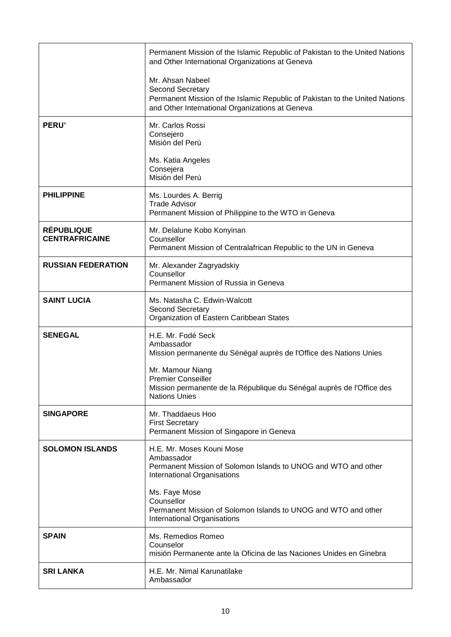|                                            | Permanent Mission of the Islamic Republic of Pakistan to the United Nations<br>and Other International Organizations at Geneva                                         |
|--------------------------------------------|------------------------------------------------------------------------------------------------------------------------------------------------------------------------|
|                                            | Mr. Ahsan Nabeel<br>Second Secretary<br>Permanent Mission of the Islamic Republic of Pakistan to the United Nations<br>and Other International Organizations at Geneva |
| PERU'                                      | Mr. Carlos Rossi<br>Consejero<br>Misión del Perú                                                                                                                       |
|                                            | Ms. Katia Angeles<br>Consejera<br>Misión del Perú                                                                                                                      |
| <b>PHILIPPINE</b>                          | Ms. Lourdes A. Berrig<br><b>Trade Advisor</b><br>Permanent Mission of Philippine to the WTO in Geneva                                                                  |
| <b>RÉPUBLIQUE</b><br><b>CENTRAFRICAINE</b> | Mr. Delalune Kobo Konyinan<br>Counsellor<br>Permanent Mission of Centralafrican Republic to the UN in Geneva                                                           |
| <b>RUSSIAN FEDERATION</b>                  | Mr. Alexander Zagryadskiy<br>Counsellor<br>Permanent Mission of Russia in Geneva                                                                                       |
| <b>SAINT LUCIA</b>                         | Ms. Natasha C. Edwin-Walcott<br>Second Secretary<br>Organization of Eastern Caribbean States                                                                           |
| <b>SENEGAL</b>                             | H.E. Mr. Fodé Seck<br>Ambassador<br>Mission permanente du Sénégal auprès de l'Office des Nations Unies                                                                 |
|                                            | Mr. Mamour Niang<br><b>Premier Conseiller</b><br>Mission permanente de la République du Sénégal auprès de l'Office des<br><b>Nations Unies</b>                         |
| <b>SINGAPORE</b>                           | Mr. Thaddaeus Hoo<br><b>First Secretary</b><br>Permanent Mission of Singapore in Geneva                                                                                |
| <b>SOLOMON ISLANDS</b>                     | H.E. Mr. Moses Kouni Mose<br>Ambassador<br>Permanent Mission of Solomon Islands to UNOG and WTO and other<br>International Organisations                               |
|                                            | Ms. Faye Mose<br>Counsellor<br>Permanent Mission of Solomon Islands to UNOG and WTO and other<br>International Organisations                                           |
| <b>SPAIN</b>                               | Ms. Remedios Romeo<br>Counselor<br>misión Permanente ante la Oficina de las Naciones Unides en Ginebra                                                                 |
| <b>SRI LANKA</b>                           | H.E. Mr. Nimal Karunatilake<br>Ambassador                                                                                                                              |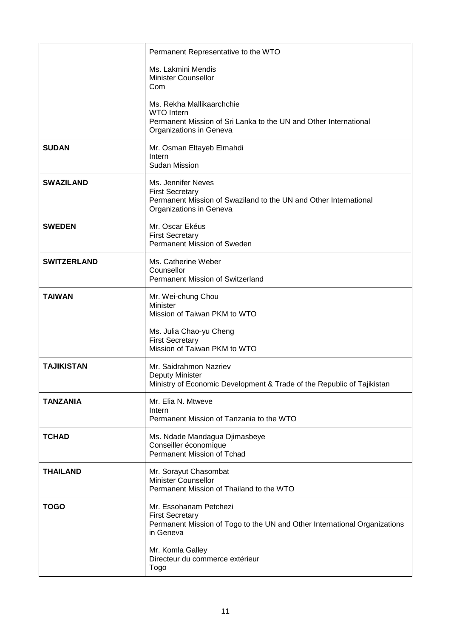|                    | Permanent Representative to the WTO                                                                                                           |
|--------------------|-----------------------------------------------------------------------------------------------------------------------------------------------|
|                    | Ms. Lakmini Mendis<br><b>Minister Counsellor</b><br>Com                                                                                       |
|                    | Ms. Rekha Mallikaarchchie<br><b>WTO</b> Intern<br>Permanent Mission of Sri Lanka to the UN and Other International<br>Organizations in Geneva |
| <b>SUDAN</b>       | Mr. Osman Eltayeb Elmahdi<br>Intern<br>Sudan Mission                                                                                          |
| <b>SWAZILAND</b>   | Ms. Jennifer Neves<br><b>First Secretary</b><br>Permanent Mission of Swaziland to the UN and Other International<br>Organizations in Geneva   |
| <b>SWEDEN</b>      | Mr. Oscar Ekéus<br><b>First Secretary</b><br>Permanent Mission of Sweden                                                                      |
| <b>SWITZERLAND</b> | Ms. Catherine Weber<br>Counsellor<br><b>Permanent Mission of Switzerland</b>                                                                  |
| <b>TAIWAN</b>      | Mr. Wei-chung Chou<br>Minister<br>Mission of Taiwan PKM to WTO                                                                                |
|                    | Ms. Julia Chao-yu Cheng<br><b>First Secretary</b><br>Mission of Taiwan PKM to WTO                                                             |
| <b>TAJIKISTAN</b>  | Mr. Saidrahmon Nazriev<br>Deputy Minister<br>Ministry of Economic Development & Trade of the Republic of Tajikistan                           |
| <b>TANZANIA</b>    | Mr. Elia N. Mtweve<br>Intern<br>Permanent Mission of Tanzania to the WTO                                                                      |
| <b>TCHAD</b>       | Ms. Ndade Mandagua Djimasbeye<br>Conseiller économique<br>Permanent Mission of Tchad                                                          |
| <b>THAILAND</b>    | Mr. Sorayut Chasombat<br><b>Minister Counsellor</b><br>Permanent Mission of Thailand to the WTO                                               |
| <b>TOGO</b>        | Mr. Essohanam Petchezi<br><b>First Secretary</b><br>Permanent Mission of Togo to the UN and Other International Organizations<br>in Geneva    |
|                    | Mr. Komla Galley<br>Directeur du commerce extérieur<br>Togo                                                                                   |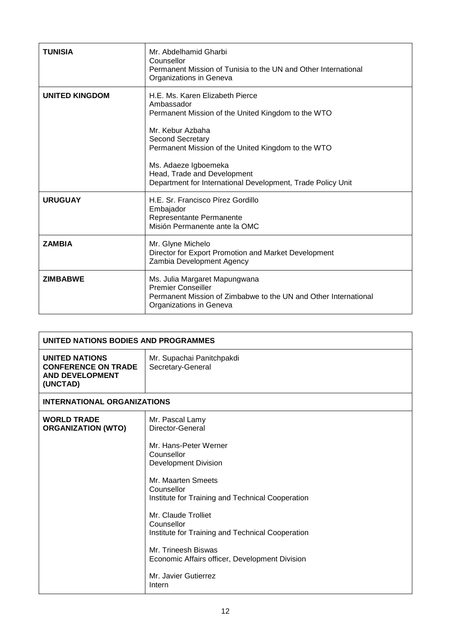| <b>TUNISIA</b>        | Mr. Abdelhamid Gharbi<br>Counsellor<br>Permanent Mission of Tunisia to the UN and Other International<br>Organizations in Geneva                                                                                                                                                                                        |
|-----------------------|-------------------------------------------------------------------------------------------------------------------------------------------------------------------------------------------------------------------------------------------------------------------------------------------------------------------------|
| <b>UNITED KINGDOM</b> | H.E. Ms. Karen Elizabeth Pierce<br>Ambassador<br>Permanent Mission of the United Kingdom to the WTO<br>Mr. Kebur Azbaha<br>Second Secretary<br>Permanent Mission of the United Kingdom to the WTO<br>Ms. Adaeze Igboemeka<br>Head, Trade and Development<br>Department for International Development, Trade Policy Unit |
| <b>URUGUAY</b>        | H.E. Sr. Francisco Pírez Gordillo<br>Embajador<br>Representante Permanente<br>Misión Permanente ante la OMC                                                                                                                                                                                                             |
| <b>ZAMBIA</b>         | Mr. Glyne Michelo<br>Director for Export Promotion and Market Development<br>Zambia Development Agency                                                                                                                                                                                                                  |
| <b>ZIMBABWE</b>       | Ms. Julia Margaret Mapungwana<br><b>Premier Conseiller</b><br>Permanent Mission of Zimbabwe to the UN and Other International<br>Organizations in Geneva                                                                                                                                                                |

| UNITED NATIONS BODIES AND PROGRAMMES                                                      |                                                                                                                                                                                                                                                                                                                                                                                                       |
|-------------------------------------------------------------------------------------------|-------------------------------------------------------------------------------------------------------------------------------------------------------------------------------------------------------------------------------------------------------------------------------------------------------------------------------------------------------------------------------------------------------|
| <b>UNITED NATIONS</b><br><b>CONFERENCE ON TRADE</b><br><b>AND DEVELOPMENT</b><br>(UNCTAD) | Mr. Supachai Panitchpakdi<br>Secretary-General                                                                                                                                                                                                                                                                                                                                                        |
| <b>INTERNATIONAL ORGANIZATIONS</b>                                                        |                                                                                                                                                                                                                                                                                                                                                                                                       |
| <b>WORLD TRADE</b><br><b>ORGANIZATION (WTO)</b>                                           | Mr. Pascal Lamy<br>Director-General<br>Mr. Hans-Peter Werner<br>Counsellor<br><b>Development Division</b><br>Mr. Maarten Smeets<br>Counsellor<br>Institute for Training and Technical Cooperation<br>Mr. Claude Trolliet<br>Counsellor<br>Institute for Training and Technical Cooperation<br>Mr. Trineesh Biswas<br>Economic Affairs officer, Development Division<br>Mr. Javier Gutierrez<br>Intern |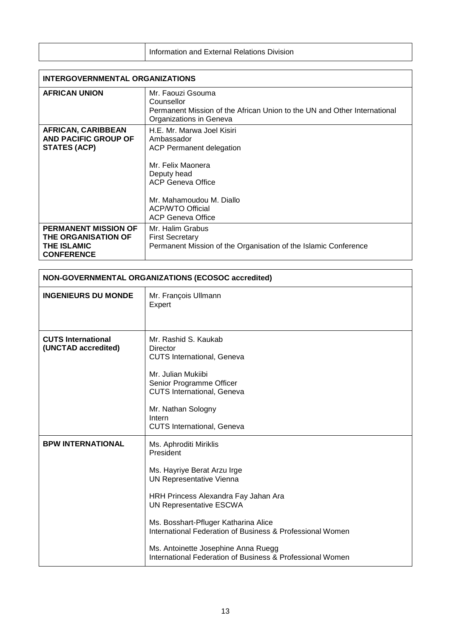| <b>Information and External Relations Division</b> |
|----------------------------------------------------|
|                                                    |

| <b>INTERGOVERNMENTAL ORGANIZATIONS</b>                                                               |                                                                                                                                                                                                                                |  |
|------------------------------------------------------------------------------------------------------|--------------------------------------------------------------------------------------------------------------------------------------------------------------------------------------------------------------------------------|--|
| <b>AFRICAN UNION</b>                                                                                 | Mr. Faouzi Gsouma<br>Counsellor<br>Permanent Mission of the African Union to the UN and Other International<br>Organizations in Geneva                                                                                         |  |
| <b>AFRICAN, CARIBBEAN</b><br>AND PACIFIC GROUP OF<br><b>STATES (ACP)</b>                             | H.E. Mr. Marwa Joel Kisiri<br>Ambassador<br><b>ACP Permanent delegation</b><br>Mr. Felix Maonera<br>Deputy head<br><b>ACP Geneva Office</b><br>Mr. Mahamoudou M. Diallo<br><b>ACP/WTO Official</b><br><b>ACP Geneva Office</b> |  |
| <b>PERMANENT MISSION OF</b><br><b>THE ORGANISATION OF</b><br><b>THE ISLAMIC</b><br><b>CONFERENCE</b> | Mr. Halim Grabus<br><b>First Secretary</b><br>Permanent Mission of the Organisation of the Islamic Conference                                                                                                                  |  |

| NON-GOVERNMENTAL ORGANIZATIONS (ECOSOC accredited) |                                                                                                                                                                                                                                                                                                                                                                            |  |
|----------------------------------------------------|----------------------------------------------------------------------------------------------------------------------------------------------------------------------------------------------------------------------------------------------------------------------------------------------------------------------------------------------------------------------------|--|
| <b>INGENIEURS DU MONDE</b>                         | Mr. François Ullmann<br>Expert                                                                                                                                                                                                                                                                                                                                             |  |
| <b>CUTS International</b><br>(UNCTAD accredited)   | Mr. Rashid S. Kaukab<br>Director<br><b>CUTS International, Geneva</b><br>Mr. Julian Mukiibi<br>Senior Programme Officer<br><b>CUTS International, Geneva</b><br>Mr. Nathan Sologny<br>Intern<br><b>CUTS International, Geneva</b>                                                                                                                                          |  |
| <b>BPW INTERNATIONAL</b>                           | Ms. Aphroditi Miriklis<br>President<br>Ms. Hayriye Berat Arzu Irge<br>UN Representative Vienna<br>HRH Princess Alexandra Fay Jahan Ara<br>UN Representative ESCWA<br>Ms. Bosshart-Pfluger Katharina Alice<br>International Federation of Business & Professional Women<br>Ms. Antoinette Josephine Anna Ruegg<br>International Federation of Business & Professional Women |  |